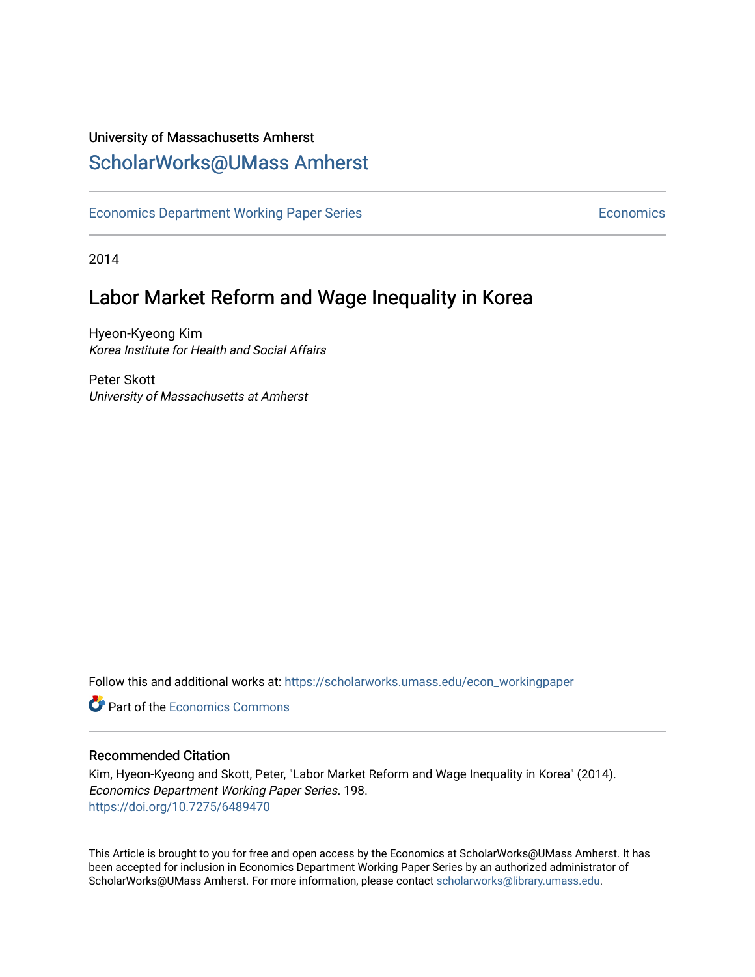#### University of Massachusetts Amherst [ScholarWorks@UMass Amherst](https://scholarworks.umass.edu/)

[Economics Department Working Paper Series](https://scholarworks.umass.edu/econ_workingpaper) **Economics** Economics

2014

### Labor Market Reform and Wage Inequality in Korea

Hyeon-Kyeong Kim Korea Institute for Health and Social Affairs

Peter Skott University of Massachusetts at Amherst

Follow this and additional works at: [https://scholarworks.umass.edu/econ\\_workingpaper](https://scholarworks.umass.edu/econ_workingpaper?utm_source=scholarworks.umass.edu%2Fecon_workingpaper%2F198&utm_medium=PDF&utm_campaign=PDFCoverPages) 

**C** Part of the [Economics Commons](http://network.bepress.com/hgg/discipline/340?utm_source=scholarworks.umass.edu%2Fecon_workingpaper%2F198&utm_medium=PDF&utm_campaign=PDFCoverPages)

#### Recommended Citation

Kim, Hyeon-Kyeong and Skott, Peter, "Labor Market Reform and Wage Inequality in Korea" (2014). Economics Department Working Paper Series. 198. <https://doi.org/10.7275/6489470>

This Article is brought to you for free and open access by the Economics at ScholarWorks@UMass Amherst. It has been accepted for inclusion in Economics Department Working Paper Series by an authorized administrator of ScholarWorks@UMass Amherst. For more information, please contact [scholarworks@library.umass.edu.](mailto:scholarworks@library.umass.edu)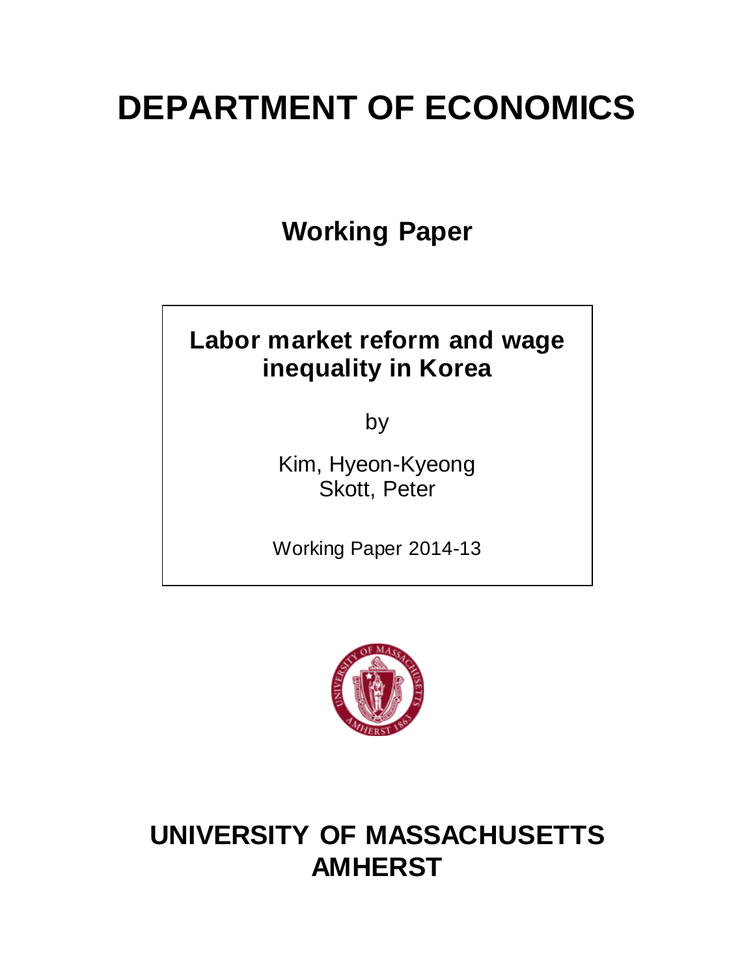# **DEPARTMENT OF ECONOMICS**

**Working Paper**

# **Labor market reform and wage inequality in Korea**

by

Kim, Hyeon-Kyeong Skott, Peter

Working Paper 2014-13



# **UNIVERSITY OF MASSACHUSETTS AMHERST**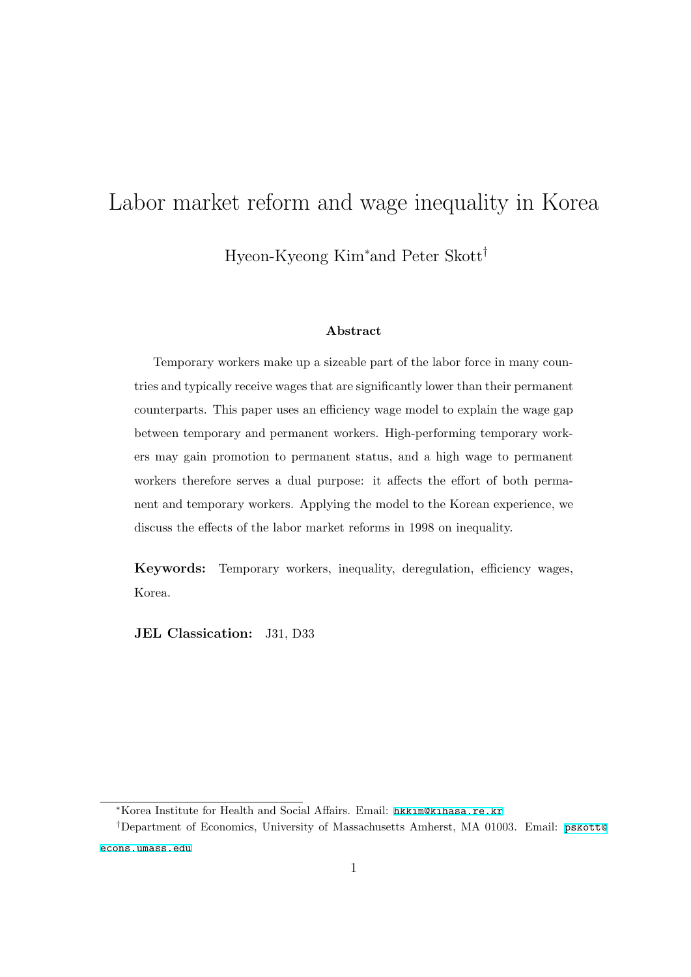# Labor market reform and wage inequality in Korea Hyeon-Kyeong Kim*<sup>∗</sup>*and Peter Skott*†*

#### **Abstract**

Temporary workers make up a sizeable part of the labor force in many countries and typically receive wages that are significantly lower than their permanent counterparts. This paper uses an efficiency wage model to explain the wage gap between temporary and permanent workers. High-performing temporary workers may gain promotion to permanent status, and a high wage to permanent workers therefore serves a dual purpose: it affects the effort of both permanent and temporary workers. Applying the model to the Korean experience, we discuss the effects of the labor market reforms in 1998 on inequality.

**Keywords:** Temporary workers, inequality, deregulation, efficiency wages, Korea.

**JEL Classication:** J31, D33

*<sup>∗</sup>*Korea Institute for Health and Social Affairs. Email: <hkkim@kihasa.re.kr>

*<sup>†</sup>*Department of Economics, University of Massachusetts Amherst, MA 01003. Email: [pskott@](pskott@econs.umass.edu) [econs.umass.edu](pskott@econs.umass.edu)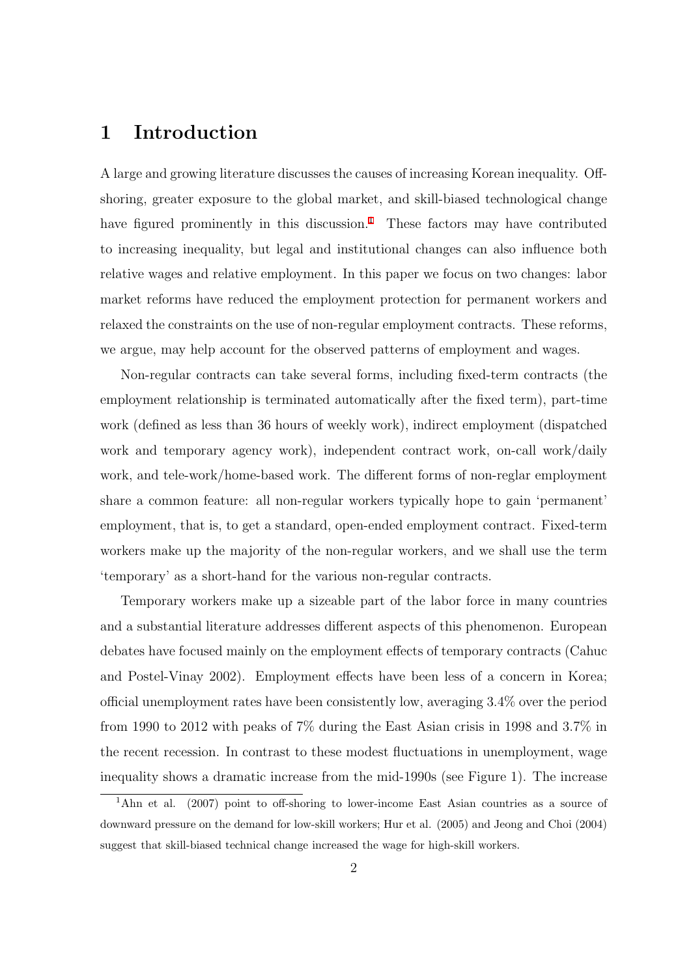#### **1 Introduction**

A large and growing literature discusses the causes of increasing Korean inequality. Offshoring, greater exposure to the global market, and skill-biased technological change have figured prominently in this discussion.<sup>[1](#page-3-0)</sup> These factors may have contributed to increasing inequality, but legal and institutional changes can also influence both relative wages and relative employment. In this paper we focus on two changes: labor market reforms have reduced the employment protection for permanent workers and relaxed the constraints on the use of non-regular employment contracts. These reforms, we argue, may help account for the observed patterns of employment and wages.

Non-regular contracts can take several forms, including fixed-term contracts (the employment relationship is terminated automatically after the fixed term), part-time work (defined as less than 36 hours of weekly work), indirect employment (dispatched work and temporary agency work), independent contract work, on-call work/daily work, and tele-work/home-based work. The different forms of non-reglar employment share a common feature: all non-regular workers typically hope to gain 'permanent' employment, that is, to get a standard, open-ended employment contract. Fixed-term workers make up the majority of the non-regular workers, and we shall use the term 'temporary' as a short-hand for the various non-regular contracts.

Temporary workers make up a sizeable part of the labor force in many countries and a substantial literature addresses different aspects of this phenomenon. European debates have focused mainly on the employment effects of temporary contracts (Cahuc and Postel-Vinay 2002). Employment effects have been less of a concern in Korea; official unemployment rates have been consistently low, averaging 3.4% over the period from 1990 to 2012 with peaks of 7% during the East Asian crisis in 1998 and 3.7% in the recent recession. In contrast to these modest fluctuations in unemployment, wage inequality shows a dramatic increase from the mid-1990s (see Figure 1). The increase

<span id="page-3-0"></span><sup>&</sup>lt;sup>1</sup>Ahn et al. (2007) point to off-shoring to lower-income East Asian countries as a source of downward pressure on the demand for low-skill workers; Hur et al. (2005) and Jeong and Choi (2004) suggest that skill-biased technical change increased the wage for high-skill workers.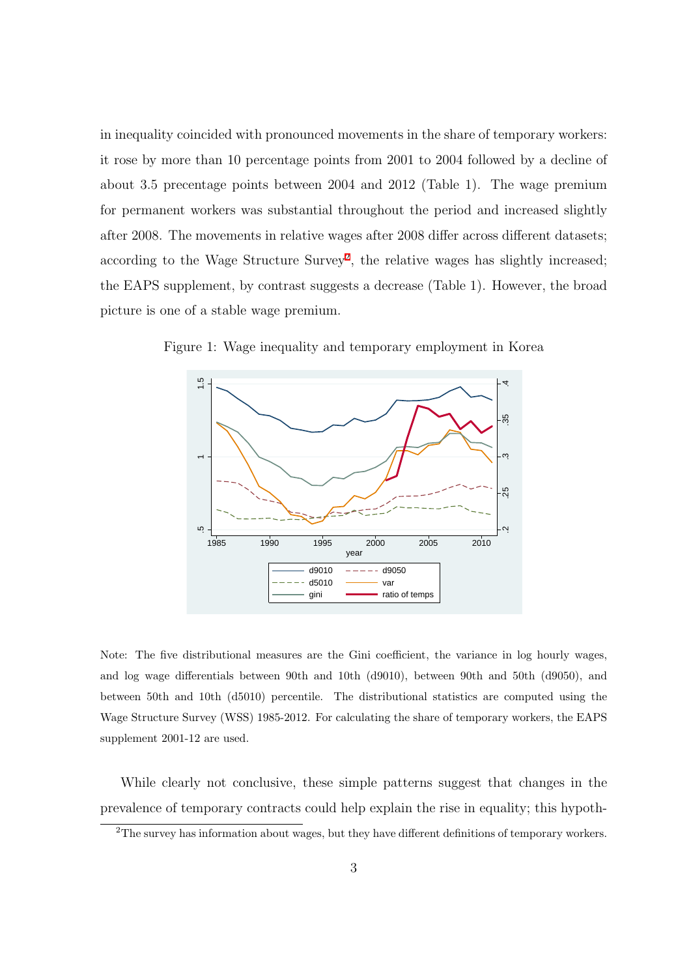in inequality coincided with pronounced movements in the share of temporary workers: it rose by more than 10 percentage points from 2001 to 2004 followed by a decline of about 3.5 precentage points between 2004 and 2012 (Table 1). The wage premium for permanent workers was substantial throughout the period and increased slightly after 2008. The movements in relative wages after 2008 differ across different datasets; according to the Wage Structure Survey<sup>[2](#page-4-0)</sup>, the relative wages has slightly increased; the EAPS supplement, by contrast suggests a decrease (Table 1). However, the broad picture is one of a stable wage premium.



Figure 1: Wage inequality and temporary employment in Korea

Note: The five distributional measures are the Gini coefficient, the variance in log hourly wages, and log wage differentials between 90th and 10th (d9010), between 90th and 50th (d9050), and between 50th and 10th (d5010) percentile. The distributional statistics are computed using the Wage Structure Survey (WSS) 1985-2012. For calculating the share of temporary workers, the EAPS supplement 2001-12 are used.

While clearly not conclusive, these simple patterns suggest that changes in the prevalence of temporary contracts could help explain the rise in equality; this hypoth-

<span id="page-4-0"></span><sup>2</sup>The survey has information about wages, but they have different definitions of temporary workers.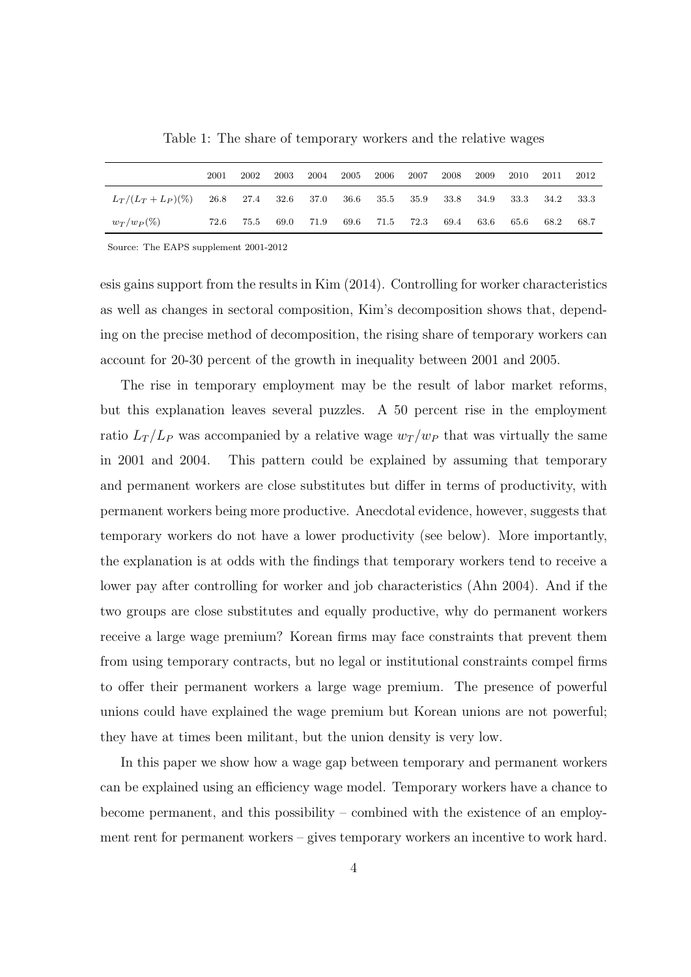|                                                | 2001 | 2002 | 2003 | 2004 | 2005 | 2006      | 2007      | 2008 | 2009 | 2010 | 2011      | 2012 |
|------------------------------------------------|------|------|------|------|------|-----------|-----------|------|------|------|-----------|------|
| $L_T/(L_T + L_P)(\%)$ 26.8 27.4 32.6 37.0 36.6 |      |      |      |      |      | 35.5 35.9 |           | 33.8 | 34.9 | 33.3 | 34.2 33.3 |      |
| $w_T/w_P (\%)$                                 | 72.6 | 75.5 | 69.0 | 71.9 | 69.6 |           | 71.5 72.3 | 69.4 | 63.6 | 65.6 | 68.2      | 68.7 |

Table 1: The share of temporary workers and the relative wages

Source: The EAPS supplement 2001-2012

esis gains support from the results in Kim (2014). Controlling for worker characteristics as well as changes in sectoral composition, Kim's decomposition shows that, depending on the precise method of decomposition, the rising share of temporary workers can account for 20-30 percent of the growth in inequality between 2001 and 2005.

The rise in temporary employment may be the result of labor market reforms, but this explanation leaves several puzzles. A 50 percent rise in the employment ratio  $L_T/L_P$  was accompanied by a relative wage  $w_T/w_P$  that was virtually the same in 2001 and 2004. This pattern could be explained by assuming that temporary and permanent workers are close substitutes but differ in terms of productivity, with permanent workers being more productive. Anecdotal evidence, however, suggests that temporary workers do not have a lower productivity (see below). More importantly, the explanation is at odds with the findings that temporary workers tend to receive a lower pay after controlling for worker and job characteristics (Ahn 2004). And if the two groups are close substitutes and equally productive, why do permanent workers receive a large wage premium? Korean firms may face constraints that prevent them from using temporary contracts, but no legal or institutional constraints compel firms to offer their permanent workers a large wage premium. The presence of powerful unions could have explained the wage premium but Korean unions are not powerful; they have at times been militant, but the union density is very low.

In this paper we show how a wage gap between temporary and permanent workers can be explained using an efficiency wage model. Temporary workers have a chance to become permanent, and this possibility – combined with the existence of an employment rent for permanent workers – gives temporary workers an incentive to work hard.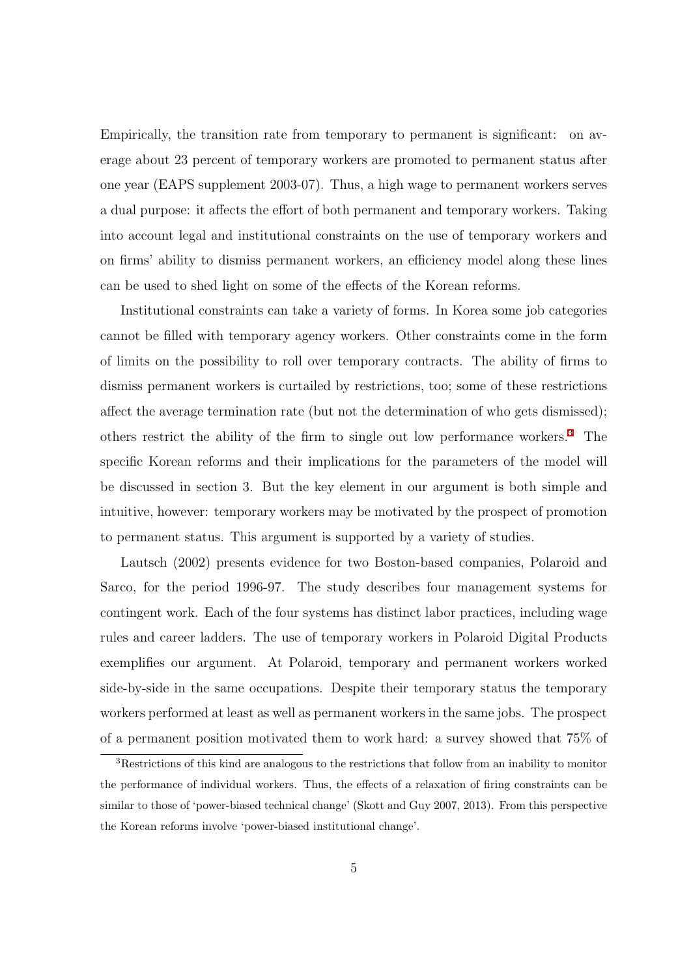Empirically, the transition rate from temporary to permanent is significant: on average about 23 percent of temporary workers are promoted to permanent status after one year (EAPS supplement 2003-07). Thus, a high wage to permanent workers serves a dual purpose: it affects the effort of both permanent and temporary workers. Taking into account legal and institutional constraints on the use of temporary workers and on firms' ability to dismiss permanent workers, an efficiency model along these lines can be used to shed light on some of the effects of the Korean reforms.

Institutional constraints can take a variety of forms. In Korea some job categories cannot be filled with temporary agency workers. Other constraints come in the form of limits on the possibility to roll over temporary contracts. The ability of firms to dismiss permanent workers is curtailed by restrictions, too; some of these restrictions affect the average termination rate (but not the determination of who gets dismissed); others restrict the ability of the firm to single out low performance workers.[3](#page-6-0) The specific Korean reforms and their implications for the parameters of the model will be discussed in section 3. But the key element in our argument is both simple and intuitive, however: temporary workers may be motivated by the prospect of promotion to permanent status. This argument is supported by a variety of studies.

Lautsch (2002) presents evidence for two Boston-based companies, Polaroid and Sarco, for the period 1996-97. The study describes four management systems for contingent work. Each of the four systems has distinct labor practices, including wage rules and career ladders. The use of temporary workers in Polaroid Digital Products exemplifies our argument. At Polaroid, temporary and permanent workers worked side-by-side in the same occupations. Despite their temporary status the temporary workers performed at least as well as permanent workers in the same jobs. The prospect of a permanent position motivated them to work hard: a survey showed that 75% of

<span id="page-6-0"></span><sup>3</sup>Restrictions of this kind are analogous to the restrictions that follow from an inability to monitor the performance of individual workers. Thus, the effects of a relaxation of firing constraints can be similar to those of 'power-biased technical change' (Skott and Guy 2007, 2013). From this perspective the Korean reforms involve 'power-biased institutional change'.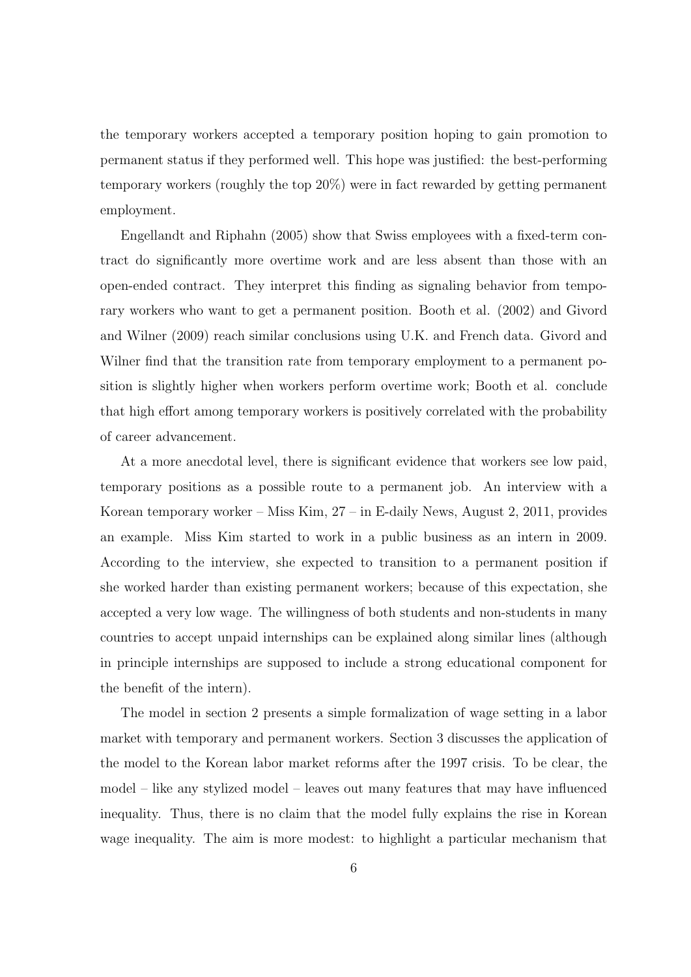the temporary workers accepted a temporary position hoping to gain promotion to permanent status if they performed well. This hope was justified: the best-performing temporary workers (roughly the top 20%) were in fact rewarded by getting permanent employment.

Engellandt and Riphahn (2005) show that Swiss employees with a fixed-term contract do significantly more overtime work and are less absent than those with an open-ended contract. They interpret this finding as signaling behavior from temporary workers who want to get a permanent position. Booth et al. (2002) and Givord and Wilner (2009) reach similar conclusions using U.K. and French data. Givord and Wilner find that the transition rate from temporary employment to a permanent position is slightly higher when workers perform overtime work; Booth et al. conclude that high effort among temporary workers is positively correlated with the probability of career advancement.

At a more anecdotal level, there is significant evidence that workers see low paid, temporary positions as a possible route to a permanent job. An interview with a Korean temporary worker – Miss Kim, 27 – in E-daily News, August 2, 2011, provides an example. Miss Kim started to work in a public business as an intern in 2009. According to the interview, she expected to transition to a permanent position if she worked harder than existing permanent workers; because of this expectation, she accepted a very low wage. The willingness of both students and non-students in many countries to accept unpaid internships can be explained along similar lines (although in principle internships are supposed to include a strong educational component for the benefit of the intern).

The model in section 2 presents a simple formalization of wage setting in a labor market with temporary and permanent workers. Section 3 discusses the application of the model to the Korean labor market reforms after the 1997 crisis. To be clear, the model – like any stylized model – leaves out many features that may have influenced inequality. Thus, there is no claim that the model fully explains the rise in Korean wage inequality. The aim is more modest: to highlight a particular mechanism that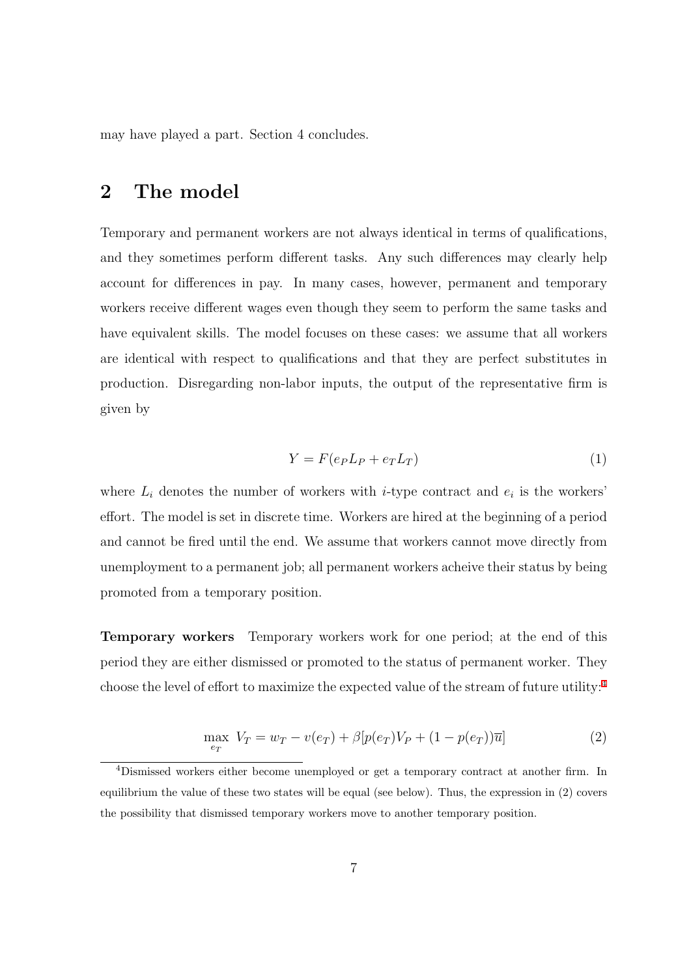may have played a part. Section 4 concludes.

#### **2 The model**

Temporary and permanent workers are not always identical in terms of qualifications, and they sometimes perform different tasks. Any such differences may clearly help account for differences in pay. In many cases, however, permanent and temporary workers receive different wages even though they seem to perform the same tasks and have equivalent skills. The model focuses on these cases: we assume that all workers are identical with respect to qualifications and that they are perfect substitutes in production. Disregarding non-labor inputs, the output of the representative firm is given by

$$
Y = F(e_P L_P + e_T L_T) \tag{1}
$$

where  $L_i$  denotes the number of workers with *i*-type contract and  $e_i$  is the workers' effort. The model is set in discrete time. Workers are hired at the beginning of a period and cannot be fired until the end. We assume that workers cannot move directly from unemployment to a permanent job; all permanent workers acheive their status by being promoted from a temporary position.

**Temporary workers** Temporary workers work for one period; at the end of this period they are either dismissed or promoted to the status of permanent worker. They choose the level of effort to maximize the expected value of the stream of future utility:[4](#page-8-0)

$$
\max_{e_T} V_T = w_T - v(e_T) + \beta [p(e_T)V_P + (1 - p(e_T))\overline{u}]
$$
\n(2)

<span id="page-8-0"></span><sup>4</sup>Dismissed workers either become unemployed or get a temporary contract at another firm. In equilibrium the value of these two states will be equal (see below). Thus, the expression in (2) covers the possibility that dismissed temporary workers move to another temporary position.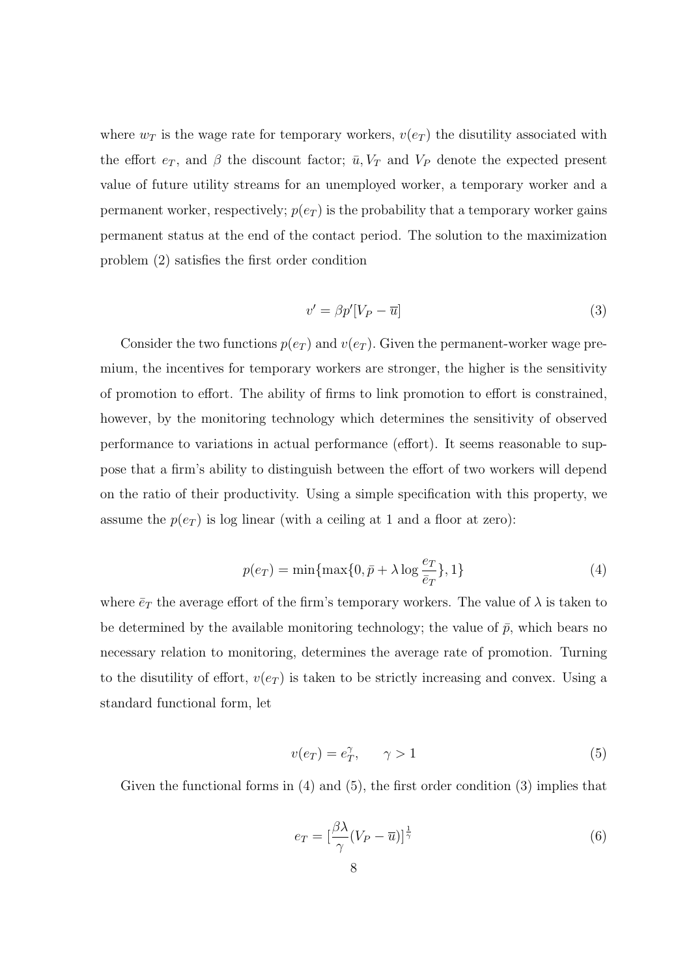where  $w_T$  is the wage rate for temporary workers,  $v(e_T)$  the disutility associated with the effort  $e_T$ , and  $\beta$  the discount factor;  $\bar{u}$ ,  $V_T$  and  $V_P$  denote the expected present value of future utility streams for an unemployed worker, a temporary worker and a permanent worker, respectively;  $p(e_T)$  is the probability that a temporary worker gains permanent status at the end of the contact period. The solution to the maximization problem (2) satisfies the first order condition

$$
v' = \beta p'[V_P - \overline{u}] \tag{3}
$$

Consider the two functions  $p(e_T)$  and  $v(e_T)$ . Given the permanent-worker wage premium, the incentives for temporary workers are stronger, the higher is the sensitivity of promotion to effort. The ability of firms to link promotion to effort is constrained, however, by the monitoring technology which determines the sensitivity of observed performance to variations in actual performance (effort). It seems reasonable to suppose that a firm's ability to distinguish between the effort of two workers will depend on the ratio of their productivity. Using a simple specification with this property, we assume the  $p(e_T)$  is log linear (with a ceiling at 1 and a floor at zero):

$$
p(e_T) = \min\{\max\{0, \bar{p} + \lambda \log \frac{e_T}{\bar{e}_T}\}, 1\}
$$
 (4)

where  $\bar{e}_T$  the average effort of the firm's temporary workers. The value of  $\lambda$  is taken to be determined by the available monitoring technology; the value of  $\bar{p}$ , which bears no necessary relation to monitoring, determines the average rate of promotion. Turning to the disutility of effort,  $v(e_T)$  is taken to be strictly increasing and convex. Using a standard functional form, let

$$
v(e_T) = e_T^{\gamma}, \qquad \gamma > 1 \tag{5}
$$

Given the functional forms in  $(4)$  and  $(5)$ , the first order condition  $(3)$  implies that

$$
e_T = \left[\frac{\beta\lambda}{\gamma}(V_P - \overline{u})\right]^{\frac{1}{\gamma}}
$$
\n(6)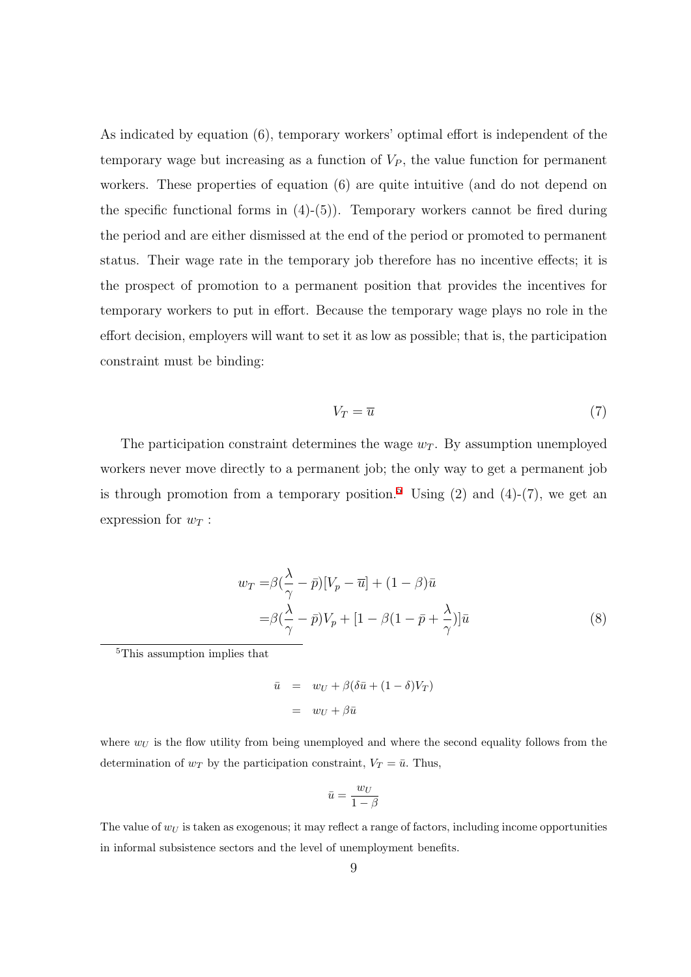As indicated by equation (6), temporary workers' optimal effort is independent of the temporary wage but increasing as a function of  $V_P$ , the value function for permanent workers. These properties of equation (6) are quite intuitive (and do not depend on the specific functional forms in  $(4)-(5)$ ). Temporary workers cannot be fired during the period and are either dismissed at the end of the period or promoted to permanent status. Their wage rate in the temporary job therefore has no incentive effects; it is the prospect of promotion to a permanent position that provides the incentives for temporary workers to put in effort. Because the temporary wage plays no role in the effort decision, employers will want to set it as low as possible; that is, the participation constraint must be binding:

$$
V_T = \overline{u} \tag{7}
$$

The participation constraint determines the wage  $w_T$ . By assumption unemployed workers never move directly to a permanent job; the only way to get a permanent job is through promotion from a temporary position.<sup>[5](#page-10-0)</sup> Using (2) and (4)-(7), we get an expression for  $w_T$ :

$$
w_T = \beta \left(\frac{\lambda}{\gamma} - \bar{p}\right) [V_p - \bar{u}] + (1 - \beta)\bar{u}
$$
  
=  $\beta \left(\frac{\lambda}{\gamma} - \bar{p}\right) V_p + [1 - \beta(1 - \bar{p} + \frac{\lambda}{\gamma})]\bar{u}$  (8)

<span id="page-10-0"></span><sup>5</sup>This assumption implies that

$$
\bar{u} = w_U + \beta(\delta \bar{u} + (1 - \delta)V_T)
$$

$$
= w_U + \beta \bar{u}
$$

where  $w_U$  is the flow utility from being unemployed and where the second equality follows from the determination of  $w_T$  by the participation constraint,  $V_T = \bar{u}$ . Thus,

$$
\bar{u} = \frac{w_U}{1-\beta}
$$

The value of *w<sup>U</sup>* is taken as exogenous; it may reflect a range of factors, including income opportunities in informal subsistence sectors and the level of unemployment benefits.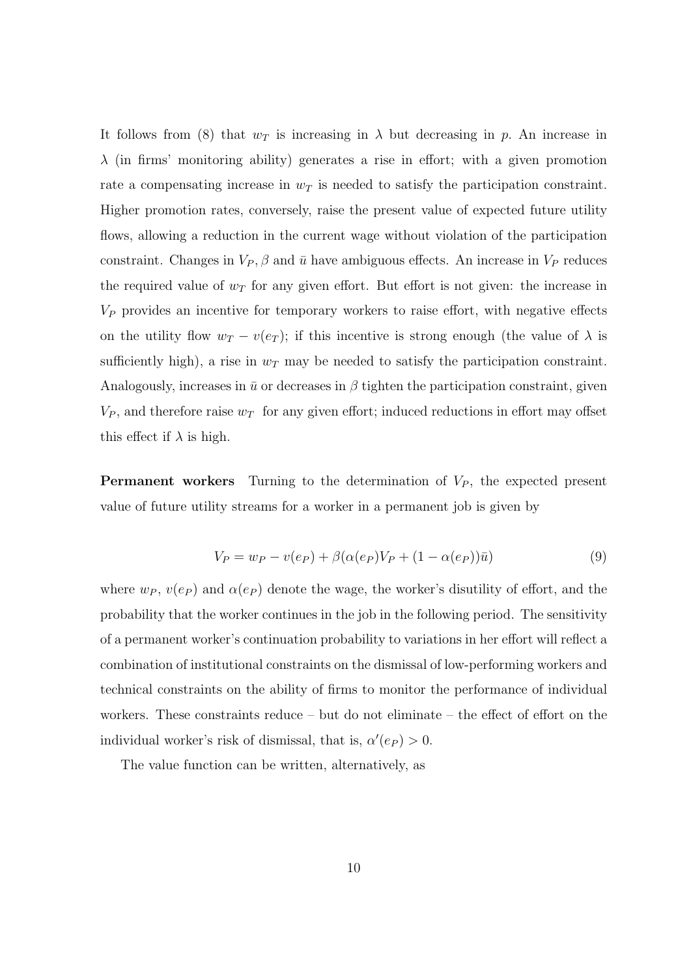It follows from (8) that  $w_T$  is increasing in  $\lambda$  but decreasing in p. An increase in  $λ$  (in firms' monitoring ability) generates a rise in effort; with a given promotion rate a compensating increase in  $w_T$  is needed to satisfy the participation constraint. Higher promotion rates, conversely, raise the present value of expected future utility flows, allowing a reduction in the current wage without violation of the participation constraint. Changes in  $V_P$ ,  $\beta$  and  $\bar{u}$  have ambiguous effects. An increase in  $V_P$  reduces the required value of  $w_T$  for any given effort. But effort is not given: the increase in *V<sup>P</sup>* provides an incentive for temporary workers to raise effort, with negative effects on the utility flow  $w_T - v(e_T)$ ; if this incentive is strong enough (the value of  $\lambda$  is sufficiently high), a rise in  $w_T$  may be needed to satisfy the participation constraint. Analogously, increases in  $\bar{u}$  or decreases in  $\beta$  tighten the participation constraint, given  $V_P$ , and therefore raise  $w_T$  for any given effort; induced reductions in effort may offset this effect if  $\lambda$  is high.

**Permanent workers** Turning to the determination of  $V_P$ , the expected present value of future utility streams for a worker in a permanent job is given by

$$
V_P = w_P - v(e_P) + \beta(\alpha(e_P)V_P + (1 - \alpha(e_P))\bar{u})
$$
\n(9)

where  $w_P$ ,  $v(e_P)$  and  $\alpha(e_P)$  denote the wage, the worker's disutility of effort, and the probability that the worker continues in the job in the following period. The sensitivity of a permanent worker's continuation probability to variations in her effort will reflect a combination of institutional constraints on the dismissal of low-performing workers and technical constraints on the ability of firms to monitor the performance of individual workers. These constraints reduce – but do not eliminate – the effect of effort on the individual worker's risk of dismissal, that is,  $\alpha'(e_P) > 0$ .

The value function can be written, alternatively, as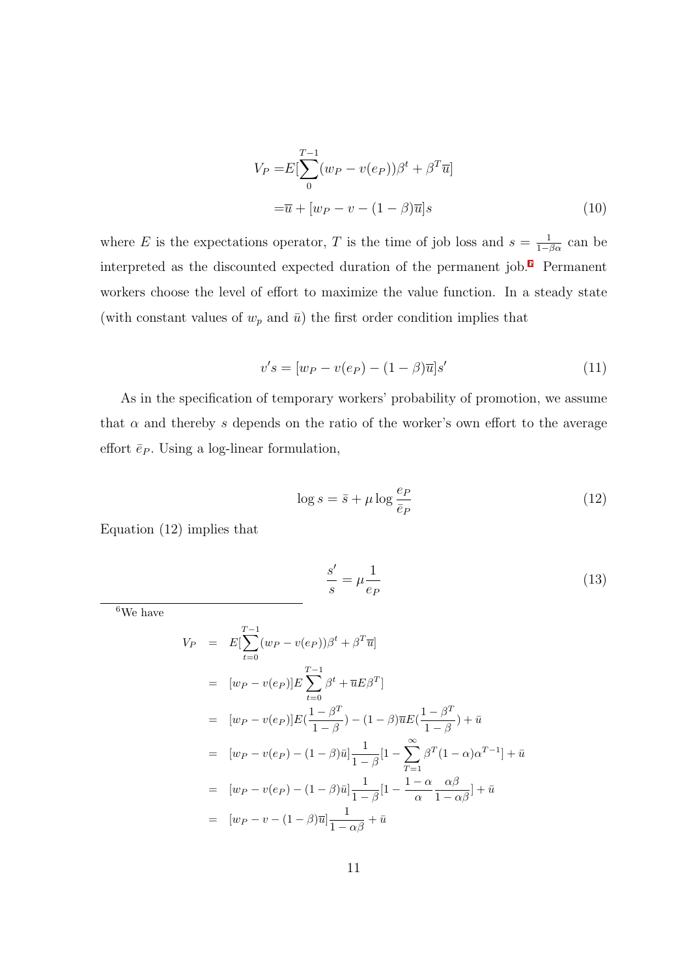$$
V_P = E\left[\sum_{0}^{T-1} (w_P - v(e_P))\beta^t + \beta^T \overline{u}\right]
$$

$$
= \overline{u} + [w_P - v - (1 - \beta)\overline{u}]s
$$
(10)

where *E* is the expectations operator, *T* is the time of job loss and  $s = \frac{1}{1-\beta\alpha}$  can be interpreted as the discounted expected duration of the permanent job.[6](#page-12-0) Permanent workers choose the level of effort to maximize the value function. In a steady state (with constant values of  $w_p$  and  $\bar{u}$ ) the first order condition implies that

$$
v's = [w_P - v(e_P) - (1 - \beta)\overline{u}]s'
$$
\n(11)

As in the specification of temporary workers' probability of promotion, we assume that  $\alpha$  and thereby  $s$  depends on the ratio of the worker's own effort to the average effort  $\bar{e}_P$ . Using a log-linear formulation,

$$
\log s = \bar{s} + \mu \log \frac{e_P}{\bar{e}_P} \tag{12}
$$

Equation (12) implies that

$$
\frac{s'}{s} = \mu \frac{1}{e_P} \tag{13}
$$

<span id="page-12-0"></span> ${}^6\mathrm{We}$  have

$$
V_P = E[\sum_{t=0}^{T-1} (w_P - v(e_P))\beta^t + \beta^T \overline{u}]
$$
  
\n
$$
= [w_P - v(e_P)]E \sum_{t=0}^{T-1} \beta^t + \overline{u}E\beta^T]
$$
  
\n
$$
= [w_P - v(e_P)]E(\frac{1-\beta^T}{1-\beta}) - (1-\beta)\overline{u}E(\frac{1-\beta^T}{1-\beta}) + \overline{u}
$$
  
\n
$$
= [w_P - v(e_P) - (1-\beta)\overline{u}] \frac{1}{1-\beta} [1 - \sum_{T=1}^{\infty} \beta^T (1-\alpha)\alpha^{T-1}] + \overline{u}
$$
  
\n
$$
= [w_P - v(e_P) - (1-\beta)\overline{u}] \frac{1}{1-\beta} [1 - \frac{1-\alpha}{\alpha} \frac{\alpha\beta}{1-\alpha\beta}] + \overline{u}
$$
  
\n
$$
= [w_P - v - (1-\beta)\overline{u}] \frac{1}{1-\alpha\beta} + \overline{u}
$$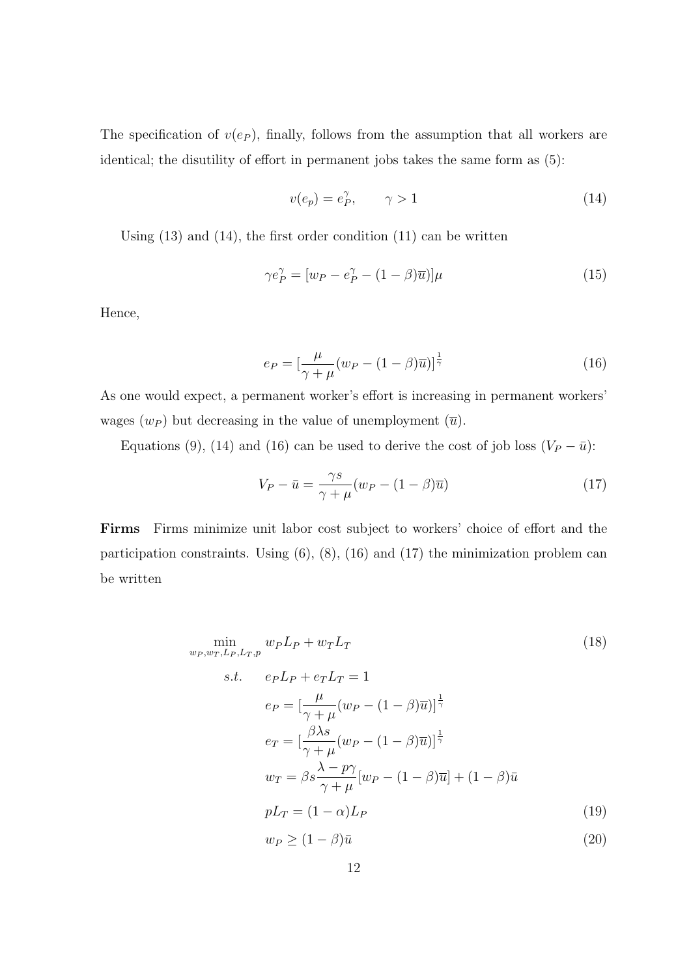The specification of  $v(e_P)$ , finally, follows from the assumption that all workers are identical; the disutility of effort in permanent jobs takes the same form as (5):

$$
v(e_p) = e_p^{\gamma}, \qquad \gamma > 1 \tag{14}
$$

Using  $(13)$  and  $(14)$ , the first order condition  $(11)$  can be written

$$
\gamma e_P^{\gamma} = [w_P - e_P^{\gamma} - (1 - \beta)\overline{u}] \mu \tag{15}
$$

Hence,

$$
e_P = \left[\frac{\mu}{\gamma + \mu}(w_P - (1 - \beta)\overline{u})\right]^{\frac{1}{\gamma}}
$$
\n(16)

As one would expect, a permanent worker's effort is increasing in permanent workers' wages  $(w_P)$  but decreasing in the value of unemployment  $(\overline{u})$ .

Equations (9), (14) and (16) can be used to derive the cost of job loss  $(V_P - \bar{u})$ :

$$
V_P - \bar{u} = \frac{\gamma s}{\gamma + \mu} (w_P - (1 - \beta)\bar{u})
$$
\n(17)

**Firms** Firms minimize unit labor cost subject to workers' choice of effort and the participation constraints. Using  $(6)$ ,  $(8)$ ,  $(16)$  and  $(17)$  the minimization problem can be written

$$
\min_{w_P, w_T, L_P, L_T, p} w_P L_P + w_T L_T
$$
\n
$$
s.t. \quad e_P L_P + e_T L_T = 1
$$
\n
$$
e_P = \left[\frac{\mu}{\gamma + \mu} (w_P - (1 - \beta)\overline{u})\right]^{\frac{1}{\gamma}}
$$
\n
$$
e_T = \left[\frac{\beta \lambda s}{\gamma + \mu} (w_P - (1 - \beta)\overline{u})\right]^{\frac{1}{\gamma}}
$$
\n
$$
w_T = \beta s \frac{\lambda - p\gamma}{\gamma + \mu} [w_P - (1 - \beta)\overline{u}] + (1 - \beta)\overline{u}
$$
\n
$$
pL_T = (1 - \alpha)L_P
$$
\n(19)

$$
w_P \ge (1 - \beta)\bar{u} \tag{20}
$$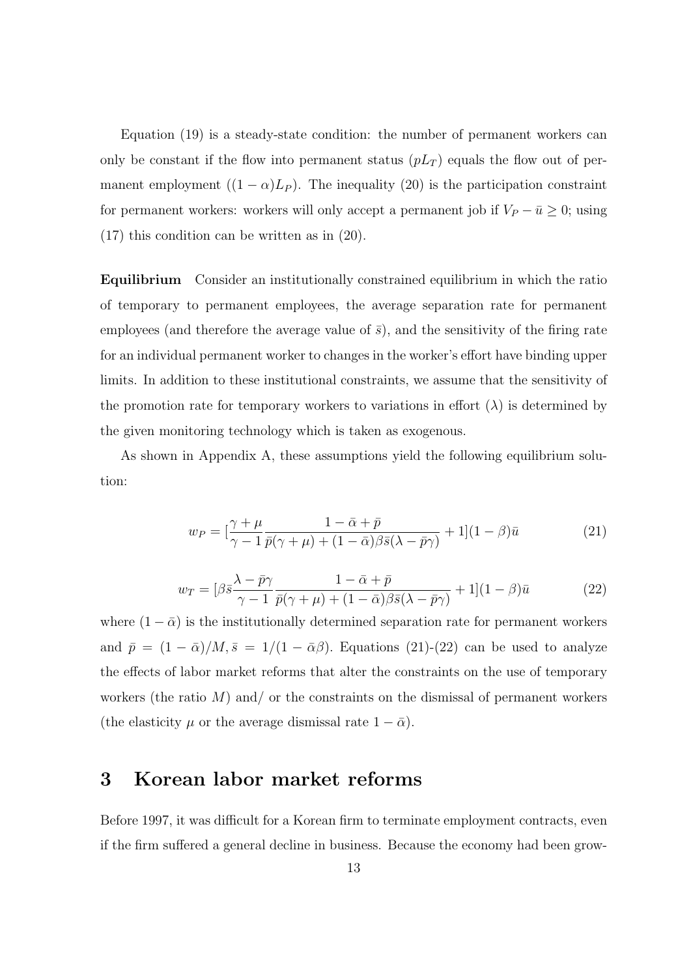Equation (19) is a steady-state condition: the number of permanent workers can only be constant if the flow into permanent status  $(pL_T)$  equals the flow out of permanent employment  $((1 - \alpha)L_P)$ . The inequality (20) is the participation constraint for permanent workers: workers will only accept a permanent job if  $V_P - \bar{u} \geq 0$ ; using (17) this condition can be written as in (20).

**Equilibrium** Consider an institutionally constrained equilibrium in which the ratio of temporary to permanent employees, the average separation rate for permanent employees (and therefore the average value of  $\bar{s}$ ), and the sensitivity of the firing rate for an individual permanent worker to changes in the worker's effort have binding upper limits. In addition to these institutional constraints, we assume that the sensitivity of the promotion rate for temporary workers to variations in effort  $(\lambda)$  is determined by the given monitoring technology which is taken as exogenous.

As shown in Appendix A, these assumptions yield the following equilibrium solution:

$$
w_P = \left[\frac{\gamma + \mu}{\gamma - 1} \frac{1 - \bar{\alpha} + \bar{p}}{\bar{p}(\gamma + \mu) + (1 - \bar{\alpha})\beta \bar{s}(\lambda - \bar{p}\gamma)} + 1\right](1 - \beta)\bar{u}
$$
(21)

$$
w_T = \left[\beta \bar{s} \frac{\lambda - \bar{p}\gamma}{\gamma - 1} \frac{1 - \bar{\alpha} + \bar{p}}{\bar{p}(\gamma + \mu) + (1 - \bar{\alpha})\beta \bar{s}(\lambda - \bar{p}\gamma)} + 1\right](1 - \beta)\bar{u} \tag{22}
$$

where  $(1 - \bar{\alpha})$  is the institutionally determined separation rate for permanent workers and  $\bar{p} = (1 - \bar{\alpha})/M$ ,  $\bar{s} = 1/(1 - \bar{\alpha}\beta)$ . Equations (21)-(22) can be used to analyze the effects of labor market reforms that alter the constraints on the use of temporary workers (the ratio *M*) and/ or the constraints on the dismissal of permanent workers (the elasticity  $\mu$  or the average dismissal rate  $1 - \bar{\alpha}$ ).

#### **3 Korean labor market reforms**

Before 1997, it was difficult for a Korean firm to terminate employment contracts, even if the firm suffered a general decline in business. Because the economy had been grow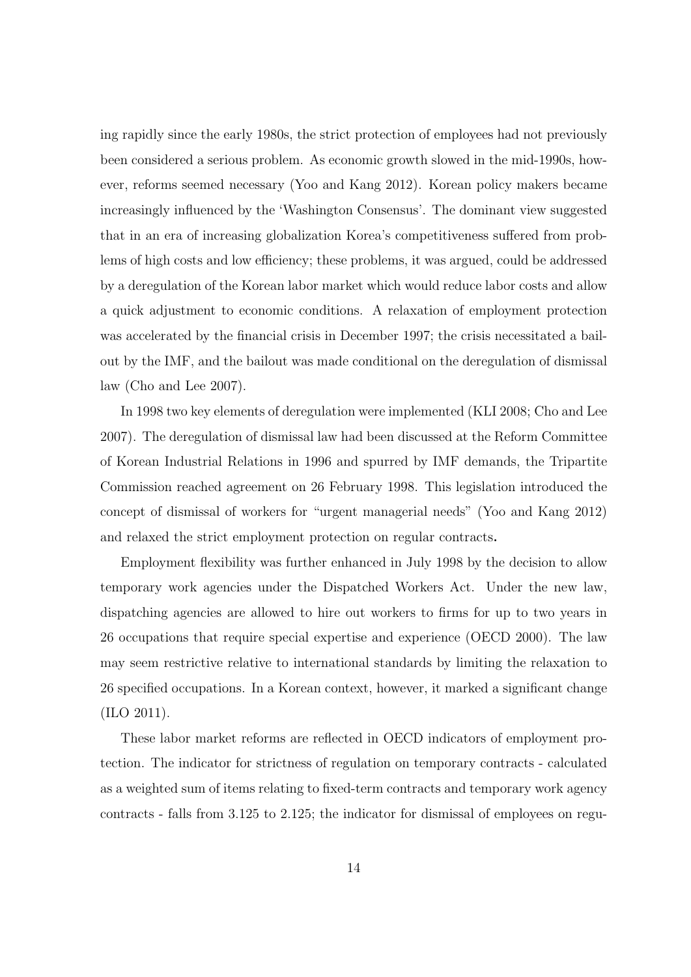ing rapidly since the early 1980s, the strict protection of employees had not previously been considered a serious problem. As economic growth slowed in the mid-1990s, however, reforms seemed necessary (Yoo and Kang 2012). Korean policy makers became increasingly influenced by the 'Washington Consensus'. The dominant view suggested that in an era of increasing globalization Korea's competitiveness suffered from problems of high costs and low efficiency; these problems, it was argued, could be addressed by a deregulation of the Korean labor market which would reduce labor costs and allow a quick adjustment to economic conditions. A relaxation of employment protection was accelerated by the financial crisis in December 1997; the crisis necessitated a bailout by the IMF, and the bailout was made conditional on the deregulation of dismissal law (Cho and Lee 2007).

In 1998 two key elements of deregulation were implemented (KLI 2008; Cho and Lee 2007). The deregulation of dismissal law had been discussed at the Reform Committee of Korean Industrial Relations in 1996 and spurred by IMF demands, the Tripartite Commission reached agreement on 26 February 1998. This legislation introduced the concept of dismissal of workers for "urgent managerial needs" (Yoo and Kang 2012) and relaxed the strict employment protection on regular contracts**.**

Employment flexibility was further enhanced in July 1998 by the decision to allow temporary work agencies under the Dispatched Workers Act. Under the new law, dispatching agencies are allowed to hire out workers to firms for up to two years in 26 occupations that require special expertise and experience (OECD 2000). The law may seem restrictive relative to international standards by limiting the relaxation to 26 specified occupations. In a Korean context, however, it marked a significant change (ILO 2011).

These labor market reforms are reflected in OECD indicators of employment protection. The indicator for strictness of regulation on temporary contracts - calculated as a weighted sum of items relating to fixed-term contracts and temporary work agency contracts - falls from 3.125 to 2.125; the indicator for dismissal of employees on regu-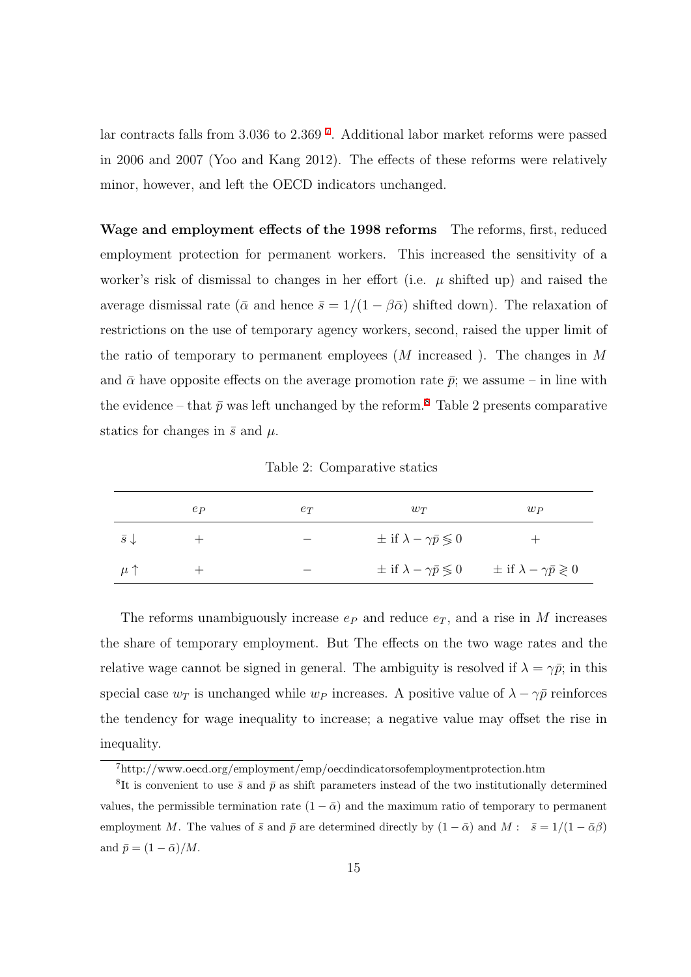lar contracts falls from 3.036 to 2.369 [7](#page-16-0) . Additional labor market reforms were passed in 2006 and 2007 (Yoo and Kang 2012). The effects of these reforms were relatively minor, however, and left the OECD indicators unchanged.

**Wage and employment effects of the 1998 reforms** The reforms, first, reduced employment protection for permanent workers. This increased the sensitivity of a worker's risk of dismissal to changes in her effort (i.e.  $\mu$  shifted up) and raised the average dismissal rate ( $\bar{\alpha}$  and hence  $\bar{s} = 1/(1 - \beta \bar{\alpha})$  shifted down). The relaxation of restrictions on the use of temporary agency workers, second, raised the upper limit of the ratio of temporary to permanent employees (*M* increased ). The changes in *M* and  $\bar{\alpha}$  have opposite effects on the average promotion rate  $\bar{p}$ ; we assume – in line with the evidence – that  $\bar{p}$  was left unchanged by the reform.<sup>[8](#page-16-1)</sup> Table 2 presents comparative statics for changes in  $\bar{s}$  and  $\mu$ .

Table 2: Comparative statics

|                      | $e_{P}$ | $e_T$ | $w_T$                                           | $w_{P}$                                                                               |
|----------------------|---------|-------|-------------------------------------------------|---------------------------------------------------------------------------------------|
| $\bar{s} \downarrow$ |         |       | $\pm$ if $\lambda - \gamma \bar{p} \leqslant 0$ |                                                                                       |
| $\mu \uparrow$       |         |       |                                                 | $\pm$ if $\lambda - \gamma \bar{p} \leq 0$ $\pm$ if $\lambda - \gamma \bar{p} \geq 0$ |

The reforms unambiguously increase  $e_P$  and reduce  $e_T$ , and a rise in *M* increases the share of temporary employment. But The effects on the two wage rates and the relative wage cannot be signed in general. The ambiguity is resolved if  $\lambda = \gamma \bar{p}$ ; in this special case  $w_T$  is unchanged while  $w_P$  increases. A positive value of  $\lambda - \gamma \bar{p}$  reinforces the tendency for wage inequality to increase; a negative value may offset the rise in inequality.

<span id="page-16-1"></span><span id="page-16-0"></span><sup>7</sup>http://www.oecd.org/employment/emp/oecdindicatorsofemploymentprotection.htm

<sup>&</sup>lt;sup>8</sup>It is convenient to use  $\bar{s}$  and  $\bar{p}$  as shift parameters instead of the two institutionally determined values, the permissible termination rate  $(1 - \bar{\alpha})$  and the maximum ratio of temporary to permanent employment *M*. The values of  $\bar{s}$  and  $\bar{p}$  are determined directly by  $(1 - \bar{\alpha})$  and  $M : \bar{s} = 1/(1 - \bar{\alpha}\beta)$ and  $\bar{p} = (1 - \bar{\alpha})/M$ .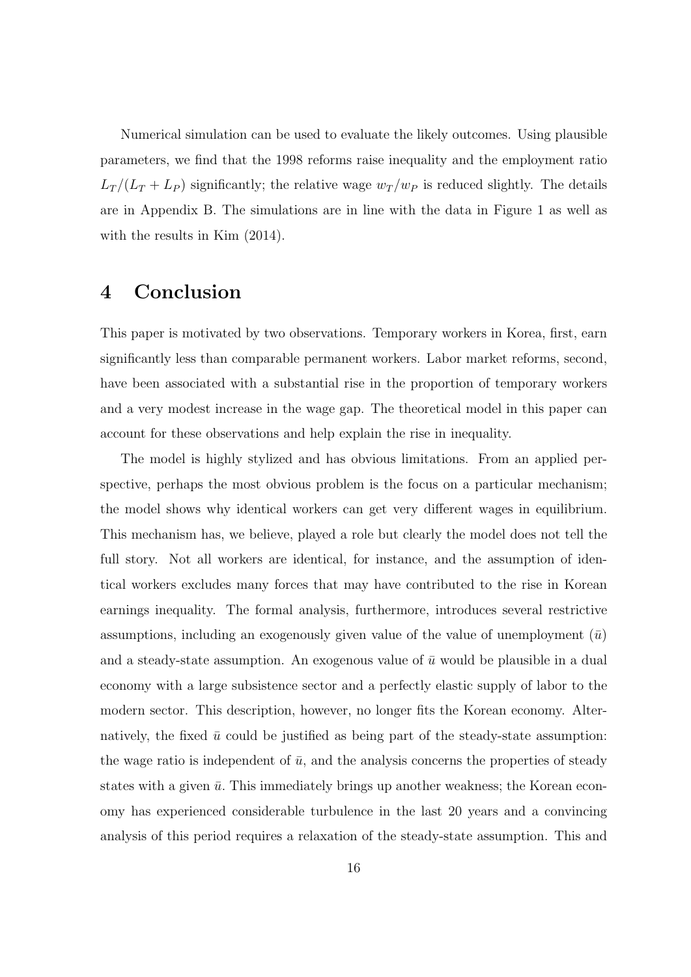Numerical simulation can be used to evaluate the likely outcomes. Using plausible parameters, we find that the 1998 reforms raise inequality and the employment ratio  $L_T/(L_T + L_P)$  significantly; the relative wage  $w_T/w_P$  is reduced slightly. The details are in Appendix B. The simulations are in line with the data in Figure 1 as well as with the results in Kim  $(2014)$ .

#### **4 Conclusion**

This paper is motivated by two observations. Temporary workers in Korea, first, earn significantly less than comparable permanent workers. Labor market reforms, second, have been associated with a substantial rise in the proportion of temporary workers and a very modest increase in the wage gap. The theoretical model in this paper can account for these observations and help explain the rise in inequality.

The model is highly stylized and has obvious limitations. From an applied perspective, perhaps the most obvious problem is the focus on a particular mechanism; the model shows why identical workers can get very different wages in equilibrium. This mechanism has, we believe, played a role but clearly the model does not tell the full story. Not all workers are identical, for instance, and the assumption of identical workers excludes many forces that may have contributed to the rise in Korean earnings inequality. The formal analysis, furthermore, introduces several restrictive assumptions, including an exogenously given value of the value of unemployment  $(\bar{u})$ and a steady-state assumption. An exogenous value of  $\bar{u}$  would be plausible in a dual economy with a large subsistence sector and a perfectly elastic supply of labor to the modern sector. This description, however, no longer fits the Korean economy. Alternatively, the fixed  $\bar{u}$  could be justified as being part of the steady-state assumption: the wage ratio is independent of  $\bar{u}$ , and the analysis concerns the properties of steady states with a given  $\bar{u}$ . This immediately brings up another weakness; the Korean economy has experienced considerable turbulence in the last 20 years and a convincing analysis of this period requires a relaxation of the steady-state assumption. This and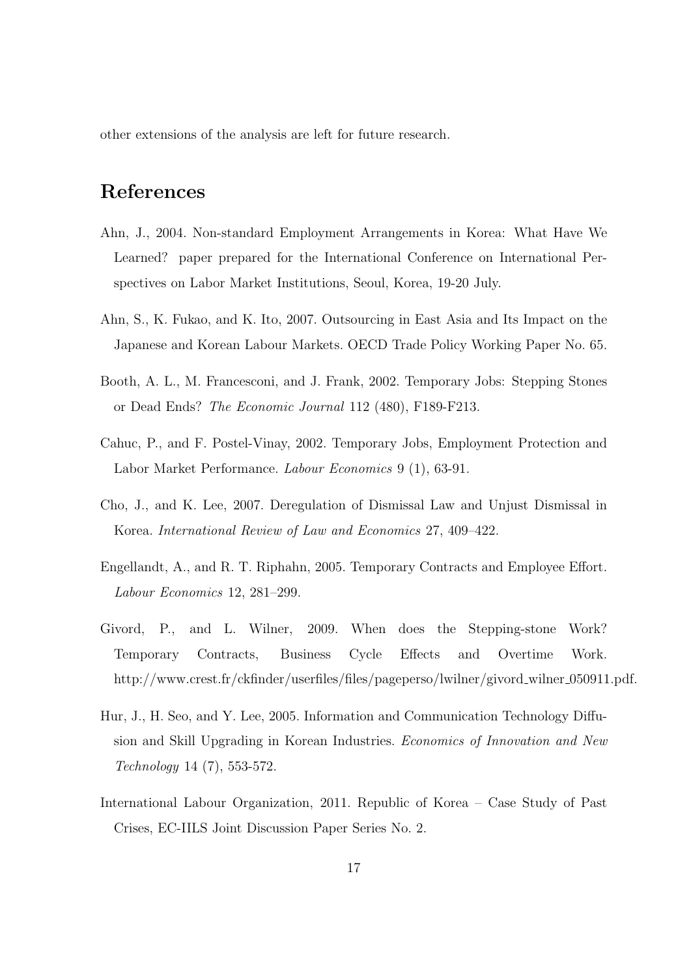other extensions of the analysis are left for future research.

## **References**

- Ahn, J., 2004. Non-standard Employment Arrangements in Korea: What Have We Learned? paper prepared for the International Conference on International Perspectives on Labor Market Institutions, Seoul, Korea, 19-20 July.
- Ahn, S., K. Fukao, and K. Ito, 2007. Outsourcing in East Asia and Its Impact on the Japanese and Korean Labour Markets. OECD Trade Policy Working Paper No. 65.
- Booth, A. L., M. Francesconi, and J. Frank, 2002. Temporary Jobs: Stepping Stones or Dead Ends? *The Economic Journal* 112 (480), F189-F213.
- Cahuc, P., and F. Postel-Vinay, 2002. Temporary Jobs, Employment Protection and Labor Market Performance. *Labour Economics* 9 (1), 63-91.
- Cho, J., and K. Lee, 2007. Deregulation of Dismissal Law and Unjust Dismissal in Korea. *International Review of Law and Economics* 27, 409–422.
- Engellandt, A., and R. T. Riphahn, 2005. Temporary Contracts and Employee Effort. *Labour Economics* 12, 281–299.
- Givord, P., and L. Wilner, 2009. When does the Stepping-stone Work? Temporary Contracts, Business Cycle Effects and Overtime Work. http://www.crest.fr/ckfinder/userfiles/files/pageperso/lwilner/givord\_wilner\_050911.pdf.
- Hur, J., H. Seo, and Y. Lee, 2005. Information and Communication Technology Diffusion and Skill Upgrading in Korean Industries. *Economics of Innovation and New Technology* 14 (7), 553-572.
- International Labour Organization, 2011. Republic of Korea Case Study of Past Crises, EC-IILS Joint Discussion Paper Series No. 2.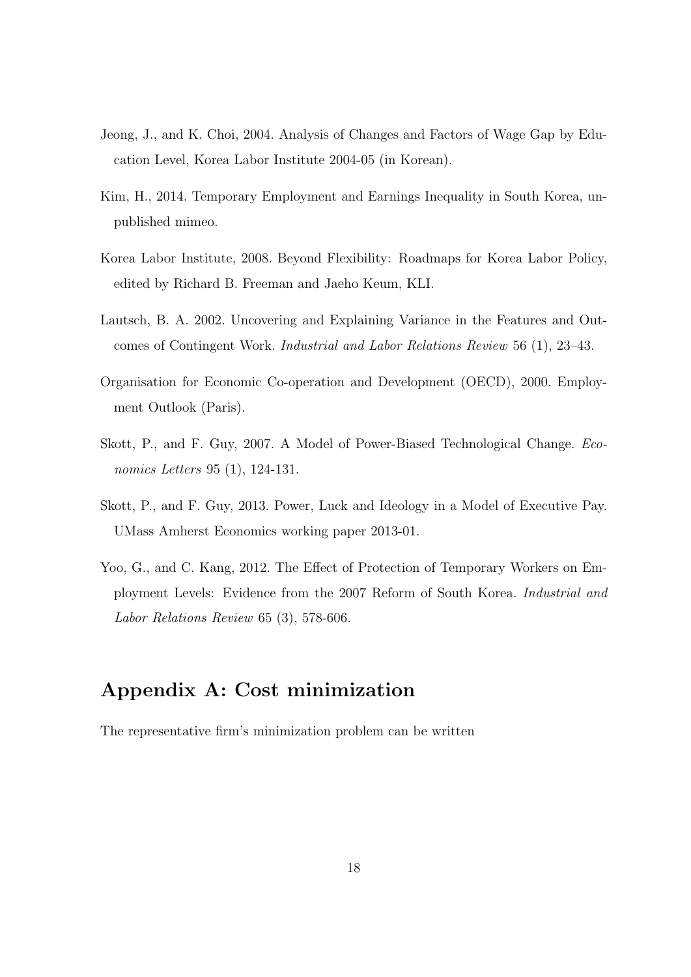- Jeong, J., and K. Choi, 2004. Analysis of Changes and Factors of Wage Gap by Education Level, Korea Labor Institute 2004-05 (in Korean).
- Kim, H., 2014. Temporary Employment and Earnings Inequality in South Korea, unpublished mimeo.
- Korea Labor Institute, 2008. Beyond Flexibility: Roadmaps for Korea Labor Policy, edited by Richard B. Freeman and Jaeho Keum, KLI.
- Lautsch, B. A. 2002. Uncovering and Explaining Variance in the Features and Outcomes of Contingent Work. *Industrial and Labor Relations Review* 56 (1), 23–43.
- Organisation for Economic Co-operation and Development (OECD), 2000. Employment Outlook (Paris).
- Skott, P., and F. Guy, 2007. A Model of Power-Biased Technological Change. *Economics Letters* 95 (1), 124-131.
- Skott, P., and F. Guy, 2013. Power, Luck and Ideology in a Model of Executive Pay. UMass Amherst Economics working paper 2013-01.
- Yoo, G., and C. Kang, 2012. The Effect of Protection of Temporary Workers on Employment Levels: Evidence from the 2007 Reform of South Korea. *Industrial and Labor Relations Review* 65 (3), 578-606.

### **Appendix A: Cost minimization**

The representative firm's minimization problem can be written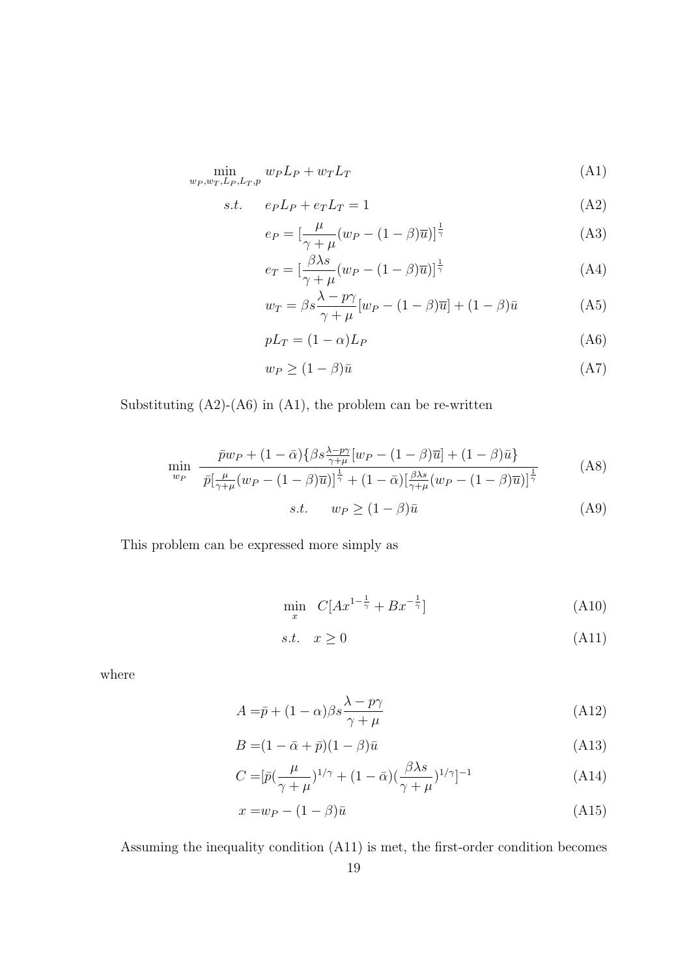$$
\min_{w_P, w_T, L_P, L_T, p} w_P L_P + w_T L_T \tag{A1}
$$

$$
s.t. \t e_P L_P + e_T L_T = 1 \t (A2)
$$

$$
e_P = \left[\frac{\mu}{\gamma + \mu}(w_P - (1 - \beta)\overline{u})\right]^{\frac{1}{\gamma}}
$$
(A3)

$$
e_T = \left[\frac{\beta \lambda s}{\gamma + \mu} (w_P - (1 - \beta)\overline{u})\right]^{\frac{1}{\gamma}}
$$
(A4)

$$
w_T = \beta s \frac{\lambda - p\gamma}{\gamma + \mu} [w_P - (1 - \beta)\overline{u}] + (1 - \beta)\overline{u}
$$
 (A5)

$$
pL_T = (1 - \alpha)L_P \tag{A6}
$$

$$
w_P \ge (1 - \beta)\bar{u} \tag{A7}
$$

Substituting  $(A2)-(A6)$  in  $(A1)$ , the problem can be re-written

$$
\min_{w_P} \frac{\bar{p}w_P + (1 - \bar{\alpha})\{\beta s \frac{\lambda - p\gamma}{\gamma + \mu}[w_P - (1 - \beta)\bar{u}]\} + (1 - \beta)\bar{u}}{\bar{p}[\frac{\mu}{\gamma + \mu}(w_P - (1 - \beta)\bar{u})]^{\frac{1}{\gamma}} + (1 - \bar{\alpha})[\frac{\beta\lambda s}{\gamma + \mu}(w_P - (1 - \beta)\bar{u})]^{\frac{1}{\gamma}}}
$$
(A8)

$$
s.t. \t w_P \ge (1 - \beta)\bar{u} \t (A9)
$$

This problem can be expressed more simply as

$$
\min_{x} \quad C[Ax^{1-\frac{1}{\gamma}} + Bx^{-\frac{1}{\gamma}}] \tag{A10}
$$

$$
s.t. \quad x \ge 0 \tag{A11}
$$

where

$$
A = \bar{p} + (1 - \alpha)\beta s \frac{\lambda - p\gamma}{\gamma + \mu}
$$
\n(A12)

$$
B = (1 - \bar{\alpha} + \bar{p})(1 - \beta)\bar{u}
$$
\n(A13)

$$
C = \left[\bar{p}\left(\frac{\mu}{\gamma + \mu}\right)^{1/\gamma} + (1 - \bar{\alpha})(\frac{\beta \lambda s}{\gamma + \mu})^{1/\gamma}\right]^{-1} \tag{A14}
$$

$$
x = w_P - (1 - \beta)\bar{u} \tag{A15}
$$

Assuming the inequality condition (A11) is met, the first-order condition becomes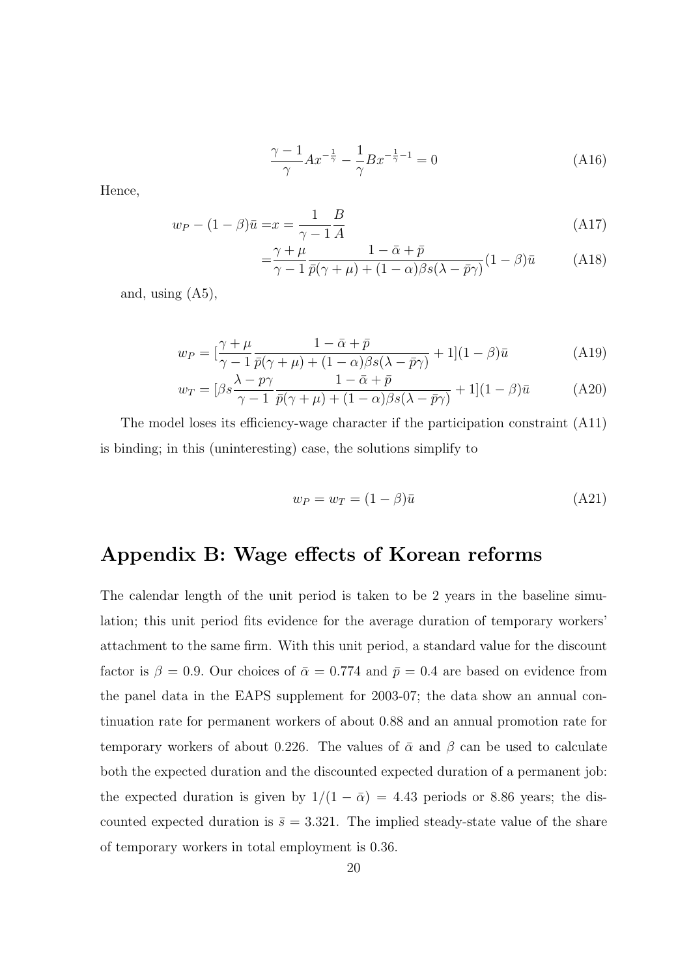$$
\frac{\gamma - 1}{\gamma} A x^{-\frac{1}{\gamma}} - \frac{1}{\gamma} B x^{-\frac{1}{\gamma} - 1} = 0
$$
\n(A16)

Hence,

$$
w_P - (1 - \beta)\bar{u} = x = \frac{1}{\gamma - 1}\frac{B}{A}
$$
\n(A17)

$$
= \frac{\gamma + \mu}{\gamma - 1} \frac{1 - \bar{\alpha} + \bar{p}}{\bar{p}(\gamma + \mu) + (1 - \alpha)\beta s(\lambda - \bar{p}\gamma)} (1 - \beta)\bar{u}
$$
 (A18)

and, using (A5),

$$
w_P = \left[\frac{\gamma + \mu}{\gamma - 1} \frac{1 - \bar{\alpha} + \bar{p}}{\bar{p}(\gamma + \mu) + (1 - \alpha)\beta s(\lambda - \bar{p}\gamma)} + 1\right](1 - \beta)\bar{u}
$$
(A19)

$$
w_T = \left[\beta s \frac{\lambda - p\gamma}{\gamma - 1} \frac{1 - \bar{\alpha} + \bar{p}}{\bar{p}(\gamma + \mu) + (1 - \alpha)\beta s(\lambda - \bar{p}\gamma)} + 1\right](1 - \beta)\bar{u}
$$
 (A20)

The model loses its efficiency-wage character if the participation constraint (A11) is binding; in this (uninteresting) case, the solutions simplify to

$$
w_P = w_T = (1 - \beta)\bar{u} \tag{A21}
$$

## **Appendix B: Wage effects of Korean reforms**

The calendar length of the unit period is taken to be 2 years in the baseline simulation; this unit period fits evidence for the average duration of temporary workers' attachment to the same firm. With this unit period, a standard value for the discount factor is  $\beta = 0.9$ . Our choices of  $\bar{\alpha} = 0.774$  and  $\bar{p} = 0.4$  are based on evidence from the panel data in the EAPS supplement for 2003-07; the data show an annual continuation rate for permanent workers of about 0*.*88 and an annual promotion rate for temporary workers of about 0.226. The values of  $\bar{\alpha}$  and  $\beta$  can be used to calculate both the expected duration and the discounted expected duration of a permanent job: the expected duration is given by  $1/(1 - \bar{\alpha}) = 4.43$  periods or 8.86 years; the discounted expected duration is  $\bar{s} = 3.321$ . The implied steady-state value of the share of temporary workers in total employment is 0*.*36.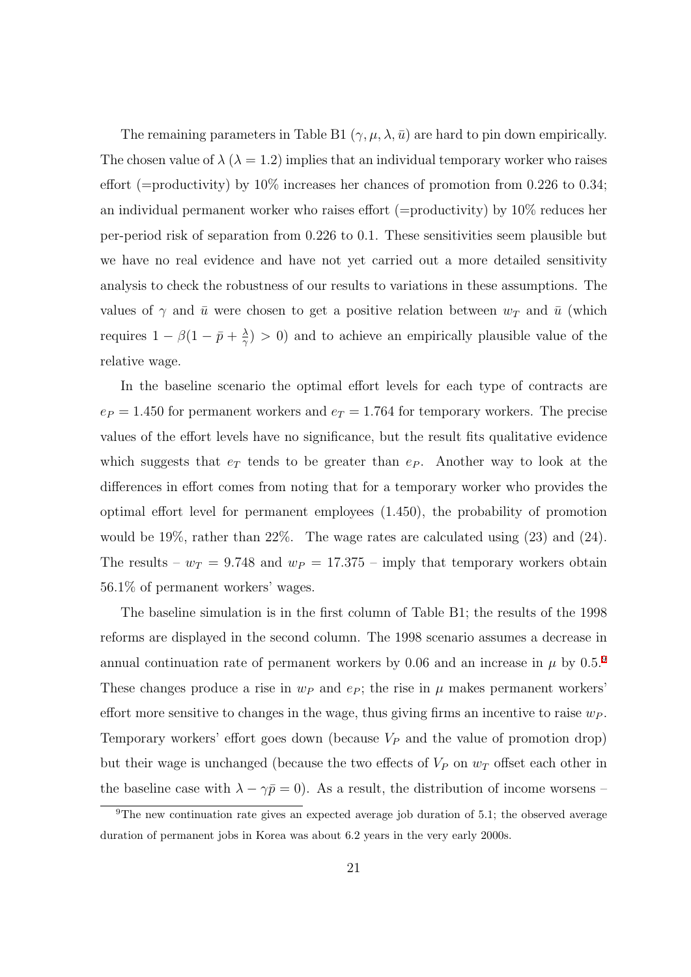The remaining parameters in Table B1  $(\gamma, \mu, \lambda, \bar{u})$  are hard to pin down empirically. The chosen value of  $\lambda$  ( $\lambda = 1.2$ ) implies that an individual temporary worker who raises effort (=productivity) by 10% increases her chances of promotion from 0*.*226 to 0*.*34; an individual permanent worker who raises effort (=productivity) by 10% reduces her per-period risk of separation from 0*.*226 to 0*.*1. These sensitivities seem plausible but we have no real evidence and have not yet carried out a more detailed sensitivity analysis to check the robustness of our results to variations in these assumptions. The values of  $\gamma$  and  $\bar{u}$  were chosen to get a positive relation between  $w_T$  and  $\bar{u}$  (which requires  $1 - \beta(1 - \bar{p} + \frac{\lambda}{\gamma})$  $\frac{\lambda}{\gamma}$  > 0) and to achieve an empirically plausible value of the relative wage.

In the baseline scenario the optimal effort levels for each type of contracts are  $e_P = 1.450$  for permanent workers and  $e_T = 1.764$  for temporary workers. The precise values of the effort levels have no significance, but the result fits qualitative evidence which suggests that  $e_T$  tends to be greater than  $e_P$ . Another way to look at the differences in effort comes from noting that for a temporary worker who provides the optimal effort level for permanent employees (1*.*450), the probability of promotion would be 19%, rather than 22%. The wage rates are calculated using (23) and (24). The results –  $w_T = 9.748$  and  $w_P = 17.375$  – imply that temporary workers obtain 56*.*1% of permanent workers' wages.

The baseline simulation is in the first column of Table B1; the results of the 1998 reforms are displayed in the second column. The 1998 scenario assumes a decrease in annual continuation rate of permanent workers by 0.06 and an increase in  $\mu$  by 0.5.<sup>[9](#page-22-0)</sup> These changes produce a rise in  $w_P$  and  $e_P$ ; the rise in  $\mu$  makes permanent workers' effort more sensitive to changes in the wage, thus giving firms an incentive to raise *w<sup>P</sup> .* Temporary workers' effort goes down (because *V<sup>P</sup>* and the value of promotion drop) but their wage is unchanged (because the two effects of *V<sup>P</sup>* on *w<sup>T</sup>* offset each other in the baseline case with  $\lambda - \gamma \bar{p} = 0$ ). As a result, the distribution of income worsens –

<span id="page-22-0"></span> $9$ The new continuation rate gives an expected average job duration of 5.1; the observed average duration of permanent jobs in Korea was about 6*.*2 years in the very early 2000s.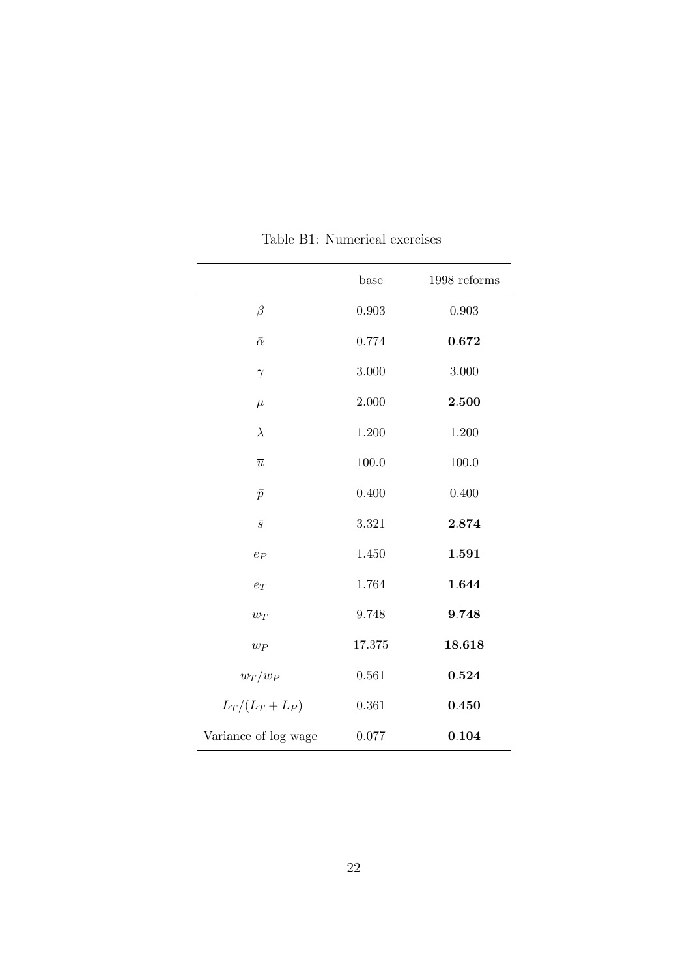|                      | base   | 1998 reforms |
|----------------------|--------|--------------|
| $\beta$              | 0.903  | 0.903        |
| $\bar{\alpha}$       | 0.774  | 0.672        |
| $\gamma$             | 3.000  | 3.000        |
| $\mu$                | 2.000  | 2.500        |
| $\lambda$            | 1.200  | 1.200        |
| $\overline{u}$       | 100.0  | 100.0        |
| $\bar{p}$            | 0.400  | 0.400        |
| $\overline{s}$       | 3.321  | 2.874        |
| $e_P$                | 1.450  | 1.591        |
| $e_T$                | 1.764  | 1.644        |
| $w_T$                | 9.748  | 9.748        |
| $w_P$                | 17.375 | 18.618       |
| $w_T/w_P$            | 0.561  | 0.524        |
| $L_T/(L_T+L_P)$      | 0.361  | 0.450        |
| Variance of log wage | 0.077  | 0.104        |

Table B1: Numerical exercises